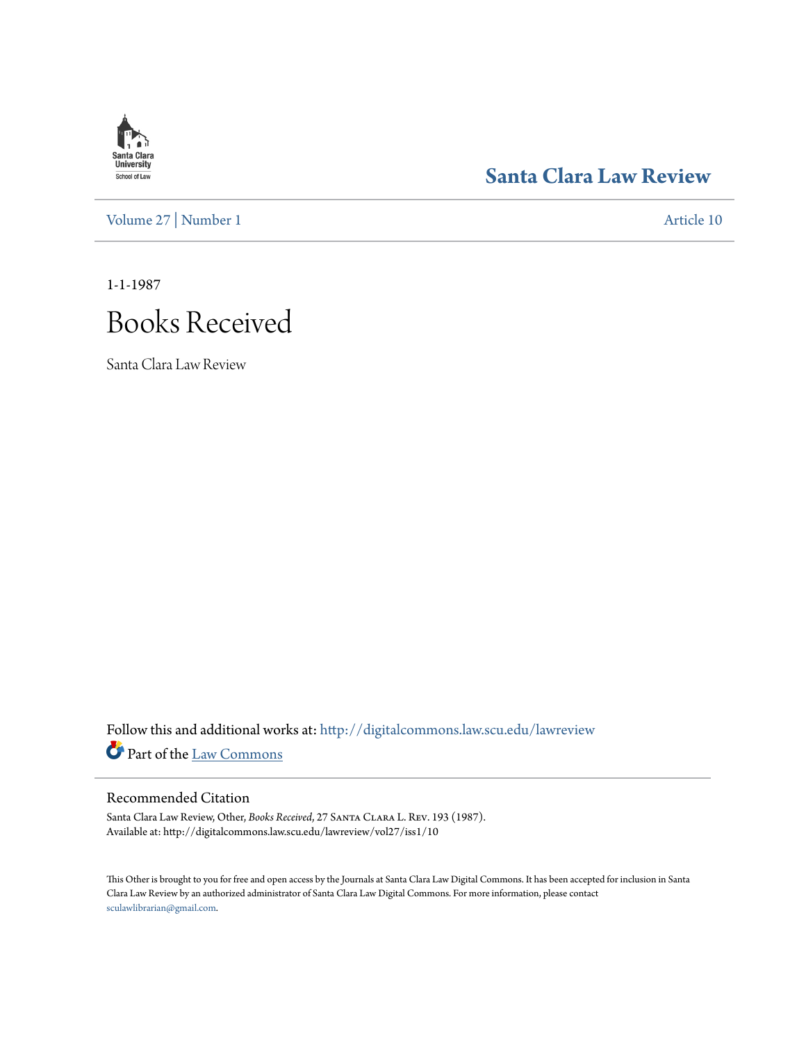# **Santa Clara**<br>**University** School of Law

[Volume 27](http://digitalcommons.law.scu.edu/lawreview/vol27?utm_source=digitalcommons.law.scu.edu%2Flawreview%2Fvol27%2Fiss1%2F10&utm_medium=PDF&utm_campaign=PDFCoverPages) | [Number 1](http://digitalcommons.law.scu.edu/lawreview/vol27/iss1?utm_source=digitalcommons.law.scu.edu%2Flawreview%2Fvol27%2Fiss1%2F10&utm_medium=PDF&utm_campaign=PDFCoverPages) [Article 10](http://digitalcommons.law.scu.edu/lawreview/vol27/iss1/10?utm_source=digitalcommons.law.scu.edu%2Flawreview%2Fvol27%2Fiss1%2F10&utm_medium=PDF&utm_campaign=PDFCoverPages)

## **[Santa Clara Law Review](http://digitalcommons.law.scu.edu/lawreview?utm_source=digitalcommons.law.scu.edu%2Flawreview%2Fvol27%2Fiss1%2F10&utm_medium=PDF&utm_campaign=PDFCoverPages)**

1-1-1987

# Books Received

Santa Clara Law Review

Follow this and additional works at: [http://digitalcommons.law.scu.edu/lawreview](http://digitalcommons.law.scu.edu/lawreview?utm_source=digitalcommons.law.scu.edu%2Flawreview%2Fvol27%2Fiss1%2F10&utm_medium=PDF&utm_campaign=PDFCoverPages) Part of the [Law Commons](http://network.bepress.com/hgg/discipline/578?utm_source=digitalcommons.law.scu.edu%2Flawreview%2Fvol27%2Fiss1%2F10&utm_medium=PDF&utm_campaign=PDFCoverPages)

### Recommended Citation

Santa Clara Law Review, Other, *Books Received*, 27 Santa Clara L. Rev. 193 (1987). Available at: http://digitalcommons.law.scu.edu/lawreview/vol27/iss1/10

This Other is brought to you for free and open access by the Journals at Santa Clara Law Digital Commons. It has been accepted for inclusion in Santa Clara Law Review by an authorized administrator of Santa Clara Law Digital Commons. For more information, please contact [sculawlibrarian@gmail.com](mailto:sculawlibrarian@gmail.com).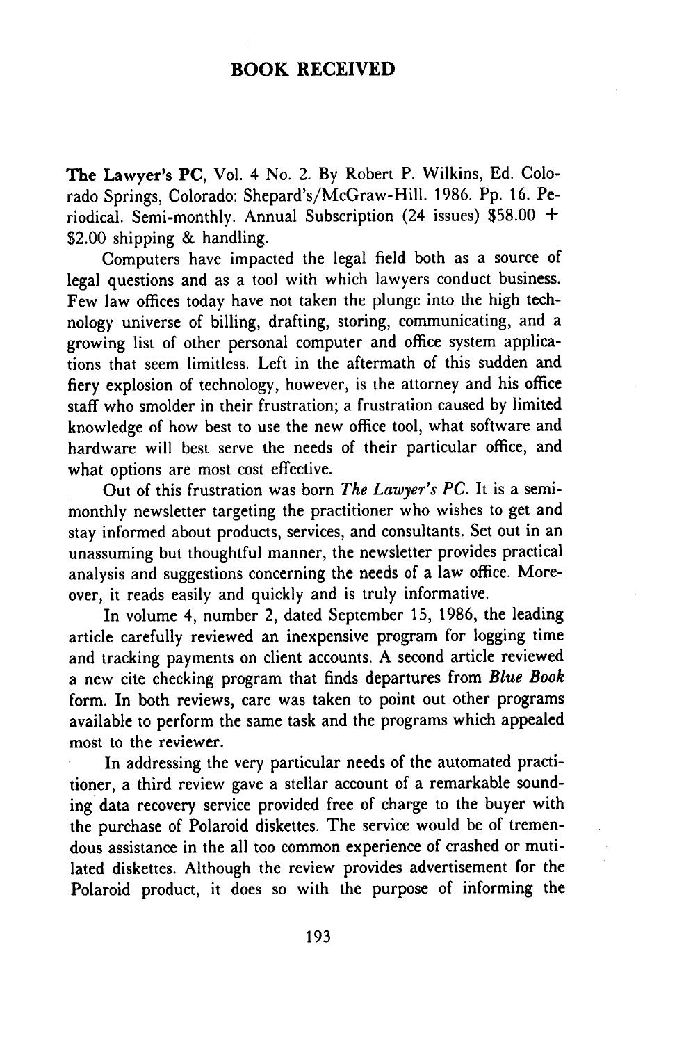### **BOOK RECEIVED**

The **Lawyer's PC,** Vol. 4 No. 2. By Robert P. Wilkins, Ed. Colorado Springs, Colorado: Shepard's/McGraw-Hill. 1986. Pp. 16. Periodical. Semi-monthly. Annual Subscription (24 issues) \$58.00 + \$2.00 shipping & handling.

Computers have impacted the legal field both as a source of legal questions and as a tool with which lawyers conduct business. Few law offices today have not taken the plunge into the high technology universe of billing, drafting, storing, communicating, and a growing list of other personal computer and office system applications that seem limitless. Left in the aftermath of this sudden and fiery explosion of technology, however, is the attorney and his office staff who smolder in their frustration; a frustration caused by limited knowledge of how best to use the new office tool, what software and hardware will best serve the needs of their particular office, and what options are most cost effective.

Out of this frustration was born *The Lawyer's PC.* It is a semimonthly newsletter targeting the practitioner who wishes to get and stay informed about products, services, and consultants. Set out in an unassuming but thoughtful manner, the newsletter provides practical analysis and suggestions concerning the needs of a law office. Moreover, it reads easily and quickly and is truly informative.

In volume 4, number 2, dated September 15, 1986, the leading article carefully reviewed an inexpensive program for logging time and tracking payments on client accounts. A second article reviewed a new cite checking program that finds departures from *Blue Book* form. In both reviews, care was taken to point out other programs available to perform the same task and the programs which appealed most to the reviewer.

In addressing the very particular needs of the automated practitioner, a third review gave a stellar account of a remarkable sounding data recovery service provided free of charge to the buyer with the purchase of Polaroid diskettes. The service would be of tremendous assistance in the all too common experience of crashed or mutilated diskettes. Although the review provides advertisement for the Polaroid product, it does so with the purpose of informing the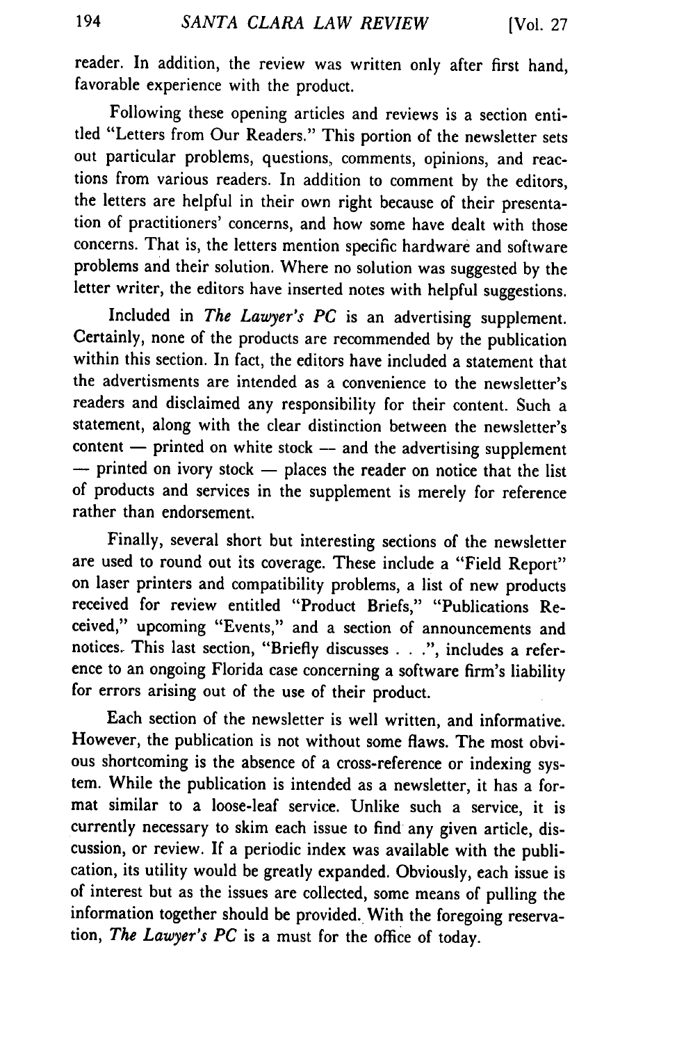reader. In addition, the review was written only after first hand, favorable experience with the product.

Following these opening articles and reviews is a section entitled "Letters from Our Readers." This portion of the newsletter sets out particular problems, questions, comments, opinions, and reactions from various readers. In addition to comment by the editors, the letters are helpful in their own right because of their presentation of practitioners' concerns, and how some have dealt with those concerns. That is, the letters mention specific hardware and software problems and their solution. Where no solution was suggested by the letter writer, the editors have inserted notes with helpful suggestions.

Included in *The Lawyer's PC* is an advertising supplement. Certainly, none of the products are recommended by the publication within this section. In fact, the editors have included a statement that the advertisments are intended as a convenience to the newsletter's readers and disclaimed any responsibility for their content. Such a statement, along with the clear distinction between the newsletter's  $content$  - printed on white stock -- and the advertising supplement -- printed on ivory stock -- places the reader on notice that the list of products and services in the supplement is merely for reference rather than endorsement.

Finally, several short but interesting sections of the newsletter are used to round out its coverage. These include a "Field Report" on laser printers and compatibility problems, a list of new products received for review entitled "Product Briefs," "Publications Received," upcoming "Events," and a section of announcements and notices. This last section, "Briefly discusses . . .", includes a reference to an ongoing Florida case concerning a software firm's liability for errors arising out of the use of their product.

Each section of the newsletter is well written, and informative. However, the publication is not without some flaws. The most obvious shortcoming is the absence of a cross-reference or indexing system. While the publication is intended as a newsletter, it has a format similar to a loose-leaf service. Unlike such a service, it is currently necessary to skim each issue to find any given article, discussion, or review. If a periodic index was available with the publication, its utility would be greatly expanded. Obviously, each issue is of interest but as the issues are collected, some means of pulling the information together should be provided. With the foregoing reservation, *The Lawyer's PC* is a must for the office of today.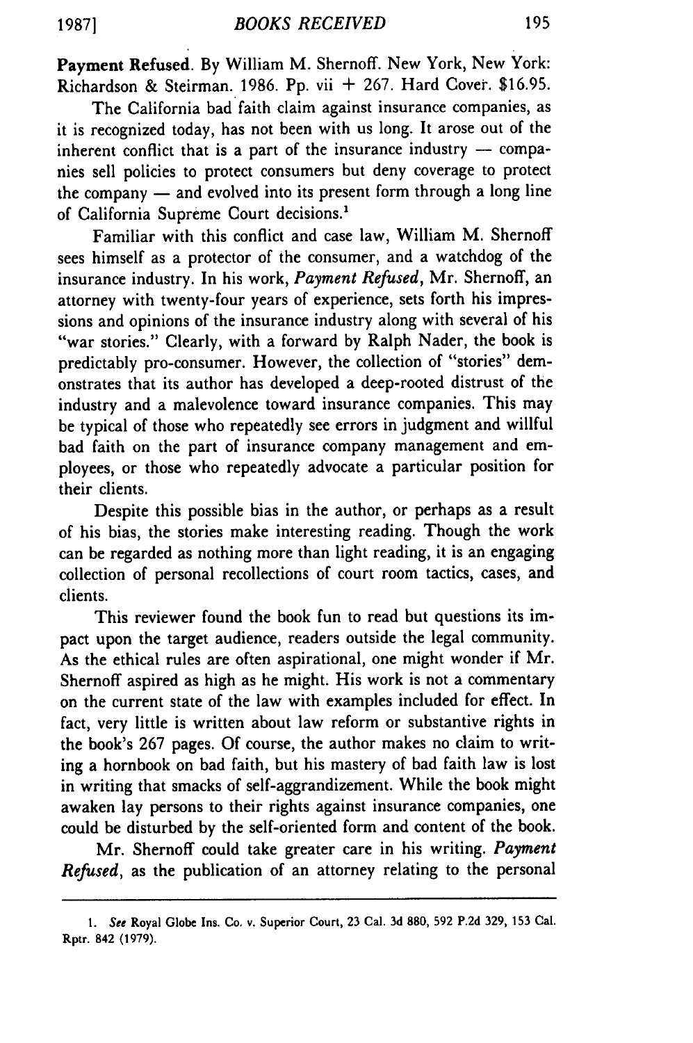Payment Refused. By William M. Shernoff. New York, New York: Richardson & Steirman. 1986. Pp. vii  $+267$ . Hard Cover. \$16.95.

The California bad faith claim against insurance companies, as it is recognized today, has not been with us long. It arose out of the inherent conflict that is a part of the insurance industry **-** companies sell policies to protect consumers but deny coverage to protect the company **-** and evolved into its present form through a long line of California Supreme Court decisions.'

Familiar with this conflict and case law, William M. Shernoff sees himself as a protector of the consumer, and a watchdog of the insurance industry. In his work, *Payment Refused,* Mr. Shernoff, an attorney with twenty-four years of experience, sets forth his impressions and opinions of the insurance industry along with several of his "war stories." Clearly, with a forward by Ralph Nader, the book is predictably pro-consumer. However, the collection of "stories" demonstrates that its author has developed a deep-rooted distrust of the industry and a malevolence toward insurance companies. This may be typical of those who repeatedly see errors in judgment and willful bad faith on the part of insurance company management and employees, or those who repeatedly advocate a particular position for their clients.

Despite this possible bias in the author, or perhaps as a result of his bias, the stories make interesting reading. Though the work can be regarded as nothing more than light reading, it is an engaging collection of personal recollections of court room tactics, cases, and clients.

This reviewer found the book fun to read but questions its impact upon the target audience, readers outside the legal community. As the ethical rules are often aspirational, one might wonder if Mr. Shernoff aspired as high as he might. His work is not a commentary on the current state of the law with examples included for effect. In fact, very little is written about law reform or substantive rights in the book's 267 pages. Of course, the author makes no claim to writing a hornbook on bad faith, but his mastery of bad faith law is lost in writing that smacks of self-aggrandizement. While the book might awaken lay persons to their rights against insurance companies, one could be disturbed by the self-oriented form and content of the book.

Mr. Shernoff could take greater care in his writing. *Payment Refused,* as the publication of an attorney relating to the personal

**1987]**

**<sup>1.</sup>** See Royal Globe Ins. Co. v. Superior Court, **23** Cal. **3d 880, 592 P.2d** 329, 153 Cal. Rptr. 842 (1979).